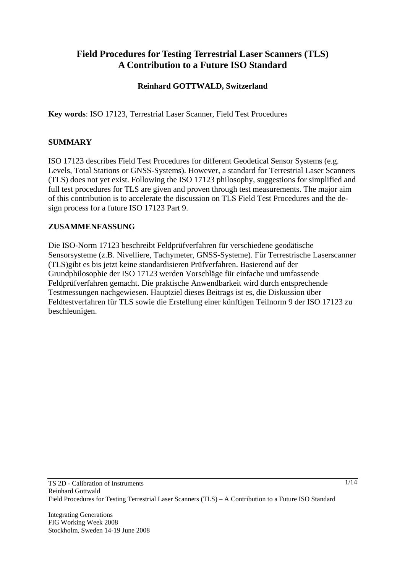# **Field Procedures for Testing Terrestrial Laser Scanners (TLS) A Contribution to a Future ISO Standard**

### **Reinhard GOTTWALD, Switzerland**

**Key words**: ISO 17123, Terrestrial Laser Scanner, Field Test Procedures

### **SUMMARY**

ISO 17123 describes Field Test Procedures for different Geodetical Sensor Systems (e.g. Levels, Total Stations or GNSS-Systems). However, a standard for Terrestrial Laser Scanners (TLS) does not yet exist. Following the ISO 17123 philosophy, suggestions for simplified and full test procedures for TLS are given and proven through test measurements. The major aim of this contribution is to accelerate the discussion on TLS Field Test Procedures and the design process for a future ISO 17123 Part 9.

#### **ZUSAMMENFASSUNG**

Die ISO-Norm 17123 beschreibt Feldprüfverfahren für verschiedene geodätische Sensorsysteme (z.B. Nivelliere, Tachymeter, GNSS-Systeme). Für Terrestrische Laserscanner (TLS)gibt es bis jetzt keine standardisieren Prüfverfahren. Basierend auf der Grundphilosophie der ISO 17123 werden Vorschläge für einfache und umfassende Feldprüfverfahren gemacht. Die praktische Anwendbarkeit wird durch entsprechende Testmessungen nachgewiesen. Hauptziel dieses Beitrags ist es, die Diskussion über Feldtestverfahren für TLS sowie die Erstellung einer künftigen Teilnorm 9 der ISO 17123 zu beschleunigen.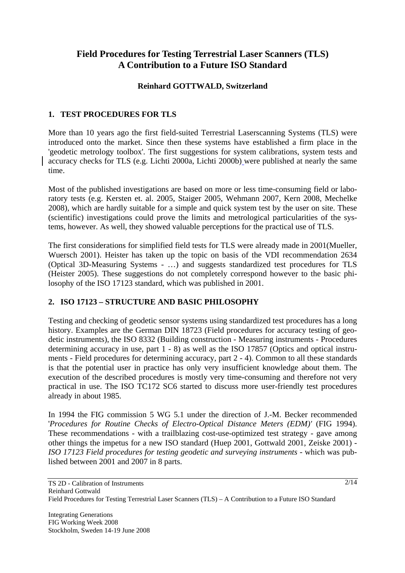# **Field Procedures for Testing Terrestrial Laser Scanners (TLS) A Contribution to a Future ISO Standard**

### **Reinhard GOTTWALD, Switzerland**

### **1. TEST PROCEDURES FOR TLS**

More than 10 years ago the first field-suited Terrestrial Laserscanning Systems (TLS) were introduced onto the market. Since then these systems have established a firm place in the 'geodetic metrology toolbox'. The first suggestions for system calibrations, system tests and accuracy checks for TLS (e.g. Lichti 2000a, Lichti 2000b) were published at nearly the same time.

Most of the published investigations are based on more or less time-consuming field or laboratory tests (e.g. Kersten et. al. 2005, Staiger 2005, Wehmann 2007, Kern 2008, Mechelke 2008), which are hardly suitable for a simple and quick system test by the user on site. These (scientific) investigations could prove the limits and metrological particularities of the systems, however. As well, they showed valuable perceptions for the practical use of TLS.

The first considerations for simplified field tests for TLS were already made in 2001(Mueller, Wuersch 2001). Heister has taken up the topic on basis of the VDI recommendation 2634 (Optical 3D-Measuring Systems - …) and suggests standardized test procedures for TLS (Heister 2005). These suggestions do not completely correspond however to the basic philosophy of the ISO 17123 standard, which was published in 2001.

### **2. ISO 17123 – STRUCTURE AND BASIC PHILOSOPHY**

Testing and checking of geodetic sensor systems using standardized test procedures has a long history. Examples are the German DIN 18723 (Field procedures for accuracy testing of geodetic instruments), the ISO 8332 (Building construction - Measuring instruments - Procedures determining accuracy in use, part 1 - 8) as well as the ISO 17857 (Optics and optical instruments - Field procedures for determining accuracy, part 2 - 4). Common to all these standards is that the potential user in practice has only very insufficient knowledge about them. The execution of the described procedures is mostly very time-consuming and therefore not very practical in use. The ISO TC172 SC6 started to discuss more user-friendly test procedures already in about 1985.

In 1994 the FIG commission 5 WG 5.1 under the direction of J.-M. Becker recommended '*Procedures for Routine Checks of Electro-Optical Distance Meters (EDM)'* (FIG 1994). These recommendations - with a trailblazing cost-use-optimized test strategy - gave among other things the impetus for a new ISO standard (Huep 2001, Gottwald 2001, Zeiske 2001) - *ISO 17123 Field procedures for testing geodetic and surveying instruments* - which was published between 2001 and 2007 in 8 parts.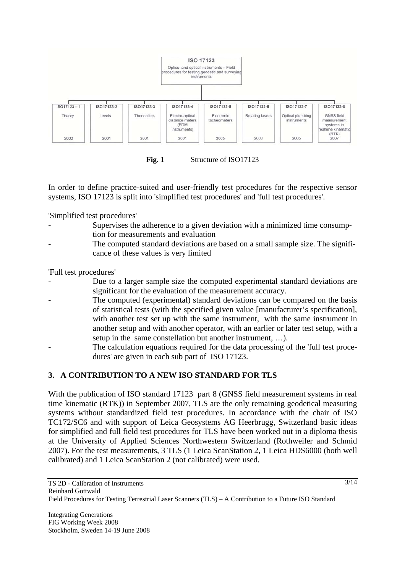

Fig. 1 Structure of ISO17123

In order to define practice-suited and user-friendly test procedures for the respective sensor systems, ISO 17123 is split into 'simplified test procedures' and 'full test procedures'.

'Simplified test procedures'

- Supervises the adherence to a given deviation with a minimized time consumption for measurements and evaluation
- The computed standard deviations are based on a small sample size. The significance of these values is very limited

'Full test procedures'

- Due to a larger sample size the computed experimental standard deviations are significant for the evaluation of the measurement accuracy.
- The computed (experimental) standard deviations can be compared on the basis of statistical tests (with the specified given value [manufacturer's specification], with another test set up with the same instrument, with the same instrument in another setup and with another operator, with an earlier or later test setup, with a setup in the same constellation but another instrument, …).
- The calculation equations required for the data processing of the 'full test procedures' are given in each sub part of ISO 17123.

# **3. A CONTRIBUTION TO A NEW ISO STANDARD FOR TLS**

With the publication of ISO standard 17123 part 8 (GNSS field measurement systems in real time kinematic (RTK)) in September 2007, TLS are the only remaining geodetical measuring systems without standardized field test procedures. In accordance with the chair of ISO TC172/SC6 and with support of Leica Geosystems AG Heerbrugg, Switzerland basic ideas for simplified and full field test procedures for TLS have been worked out in a diploma thesis at the University of Applied Sciences Northwestern Switzerland (Rothweiler and Schmid 2007). For the test measurements, 3 TLS (1 Leica ScanStation 2, 1 Leica HDS6000 (both well calibrated) and 1 Leica ScanStation 2 (not calibrated) were used.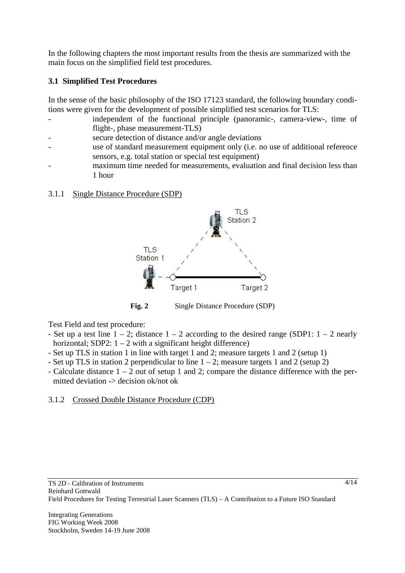In the following chapters the most important results from the thesis are summarized with the main focus on the simplified field test procedures.

# **3.1 Simplified Test Procedures**

In the sense of the basic philosophy of the ISO 17123 standard, the following boundary conditions were given for the development of possible simplified test scenarios for TLS:

- independent of the functional principle (panoramic-, camera-view-, time of flight-, phase measurement-TLS)
- secure detection of distance and/or angle deviations
- use of standard measurement equipment only (i.e. no use of additional reference sensors, e.g. total station or special test equipment)
	- maximum time needed for measurements, evaluation and final decision less than 1 hour

# 3.1.1 Single Distance Procedure (SDP)



Fig. 2 Single Distance Procedure (SDP)

Test Field and test procedure:

- Set up a test line  $1 2$ ; distance  $1 2$  according to the desired range (SDP1:  $1 2$  nearly horizontal; SDP2:  $1 - 2$  with a significant height difference)
- Set up TLS in station 1 in line with target 1 and 2; measure targets 1 and 2 (setup 1)
- Set up TLS in station 2 perpendicular to line  $1 2$ ; measure targets 1 and 2 (setup 2)
- Calculate distance  $1 2$  out of setup 1 and 2; compare the distance difference with the permitted deviation -> decision ok/not ok

# 3.1.2 Crossed Double Distance Procedure (CDP)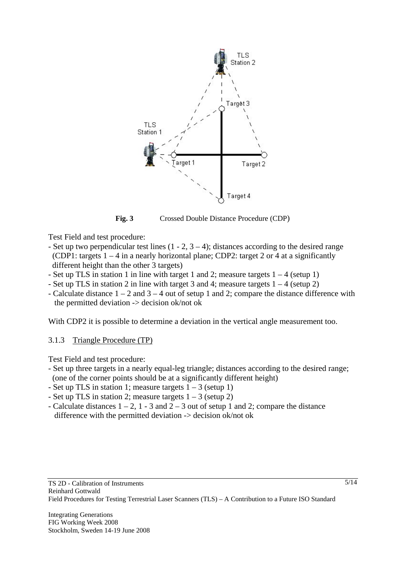

**Fig. 3** Crossed Double Distance Procedure (CDP)

Test Field and test procedure:

- Set up two perpendicular test lines  $(1 2, 3 4)$ ; distances according to the desired range (CDP1: targets  $1 - 4$  in a nearly horizontal plane; CDP2: target 2 or 4 at a significantly different height than the other 3 targets)
- Set up TLS in station 1 in line with target 1 and 2; measure targets  $1 4$  (setup 1)
- Set up TLS in station 2 in line with target 3 and 4; measure targets  $1 4$  (setup 2)
- Calculate distance  $1 2$  and  $3 4$  out of setup 1 and 2; compare the distance difference with the permitted deviation -> decision ok/not ok

With CDP2 it is possible to determine a deviation in the vertical angle measurement too.

### 3.1.3 Triangle Procedure (TP)

Test Field and test procedure:

- Set up three targets in a nearly equal-leg triangle; distances according to the desired range; (one of the corner points should be at a significantly different height)
- Set up TLS in station 1; measure targets  $1 3$  (setup 1)
- Set up TLS in station 2; measure targets  $1 3$  (setup 2)
- Calculate distances  $1 2$ ,  $1 3$  and  $2 3$  out of setup 1 and 2; compare the distance difference with the permitted deviation -> decision ok/not ok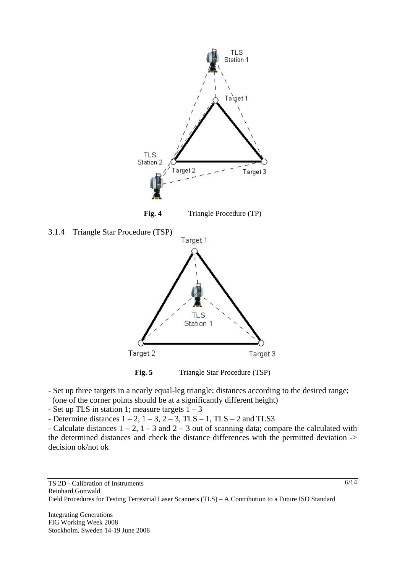



- Set up three targets in a nearly equal-leg triangle; distances according to the desired range; (one of the corner points should be at a significantly different height)
- Set up TLS in station 1; measure targets  $1 3$
- Determine distances  $1 2$ ,  $1 3$ ,  $2 3$ , TLS  $1$ , TLS  $2$  and TLS3

- Calculate distances  $1 - 2$ ,  $1 - 3$  and  $2 - 3$  out of scanning data; compare the calculated with the determined distances and check the distance differences with the permitted deviation -> decision ok/not ok

6/14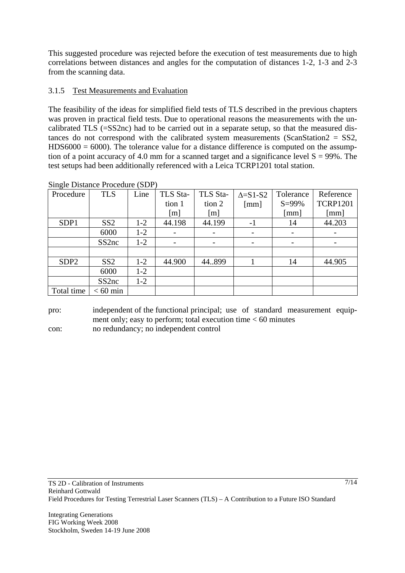This suggested procedure was rejected before the execution of test measurements due to high correlations between distances and angles for the computation of distances 1-2, 1-3 and 2-3 from the scanning data.

# 3.1.5 Test Measurements and Evaluation

The feasibility of the ideas for simplified field tests of TLS described in the previous chapters was proven in practical field tests. Due to operational reasons the measurements with the uncalibrated TLS (=SS2nc) had to be carried out in a separate setup, so that the measured distances do not correspond with the calibrated system measurements (ScanStation2 = SS2,  $HDS6000 = 6000$ . The tolerance value for a distance difference is computed on the assumption of a point accuracy of 4.0 mm for a scanned target and a significance level  $S = 99\%$ . The test setups had been additionally referenced with a Leica TCRP1201 total station.

| Procedure        | <b>TLS</b>         | Line  | TLS Sta- | TLS Sta- | $\Delta = S1-S2$     | Tolerance  | Reference       |
|------------------|--------------------|-------|----------|----------|----------------------|------------|-----------------|
|                  |                    |       | tion 1   | tion 2   | $\lceil$ mm $\rceil$ | $S = 99\%$ | <b>TCRP1201</b> |
|                  |                    |       | [m]      | [m]      |                      | [mm]       | [mm]            |
| SDP1             | SS2                | $1-2$ | 44.198   | 44.199   | $-1$                 | 14         | 44.203          |
|                  | 6000               | $1-2$ |          |          |                      |            |                 |
|                  | SS <sub>2</sub> nc | $1-2$ |          |          |                      |            |                 |
|                  |                    |       |          |          |                      |            |                 |
| SDP <sub>2</sub> | SS2                | $1-2$ | 44.900   | 44.899   |                      | 14         | 44.905          |
|                  | 6000               | $1-2$ |          |          |                      |            |                 |
|                  | SS <sub>2</sub> nc | $1-2$ |          |          |                      |            |                 |
| Total time       | $< 60$ min         |       |          |          |                      |            |                 |

Single Distance Procedure (SDP)

pro: independent of the functional principal; use of standard measurement equipment only; easy to perform; total execution time  $< 60$  minutes con: no redundancy; no independent control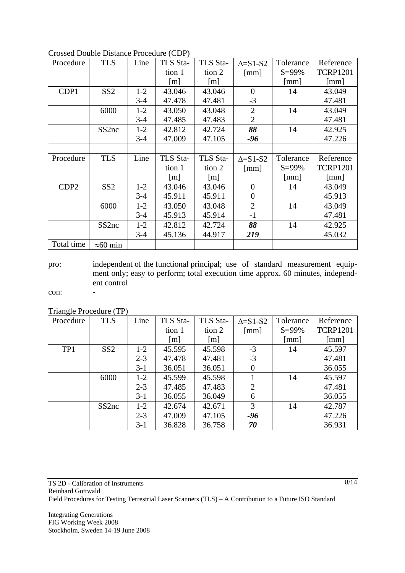| Procedure        | <b>TLS</b>         | Line    | TLS Sta-          | TLS Sta-          | $\Delta = S1-S2$     | Tolerance            | Reference            |
|------------------|--------------------|---------|-------------------|-------------------|----------------------|----------------------|----------------------|
|                  |                    |         | tion 1            | tion 2            | $\lceil$ mm $\rceil$ | $S = 99\%$           | <b>TCRP1201</b>      |
|                  |                    |         | $\lceil m \rceil$ | $\lceil m \rceil$ |                      | $\lceil$ mm $\rceil$ | [mm]                 |
| CDP1             | SS <sub>2</sub>    | $1 - 2$ | 43.046            | 43.046            | $\overline{0}$       | 14                   | 43.049               |
|                  |                    | $3-4$   | 47.478            | 47.481            | $-3$                 |                      | 47.481               |
|                  | 6000               | $1-2$   | 43.050            | 43.048            | $\overline{2}$       | 14                   | 43.049               |
|                  |                    | $3 - 4$ | 47.485            | 47.483            | $\overline{2}$       |                      | 47.481               |
|                  | SS <sub>2</sub> nc | $1 - 2$ | 42.812            | 42.724            | 88                   | 14                   | 42.925               |
|                  |                    | $3-4$   | 47.009            | 47.105            | -96                  |                      | 47.226               |
|                  |                    |         |                   |                   |                      |                      |                      |
| Procedure        | <b>TLS</b>         | Line    | TLS Sta-          | TLS Sta-          |                      | Tolerance            | Reference            |
|                  |                    |         |                   |                   | $\Delta = S1-S2$     |                      |                      |
|                  |                    |         | tion 1            | tion 2            | $\lceil$ mm $\rceil$ | $S = 99\%$           | <b>TCRP1201</b>      |
|                  |                    |         | $\lceil m \rceil$ | $\lceil m \rceil$ |                      | $\lceil$ mm $\rceil$ | $\lceil$ mm $\rceil$ |
| CDP <sub>2</sub> | SS <sub>2</sub>    | $1 - 2$ | 43.046            | 43.046            | $\overline{0}$       | 14                   | 43.049               |
|                  |                    | $3-4$   | 45.911            | 45.911            | $\boldsymbol{0}$     |                      | 45.913               |
|                  | 6000               | $1 - 2$ | 43.050            | 43.048            | $\overline{2}$       | 14                   | 43.049               |
|                  |                    | $3 - 4$ | 45.913            | 45.914            | $-1$                 |                      | 47.481               |
|                  | SS <sub>2</sub> nc | $1-2$   | 42.812            | 42.724            | 88                   | 14                   | 42.925               |
|                  |                    | $3 - 4$ | 45.136            | 44.917            | 219                  |                      | 45.032               |

Crossed Double Distance Procedure (CDP)

pro: independent of the functional principal; use of standard measurement equipment only; easy to perform; total execution time approx. 60 minutes, independent control

con: -

Triangle Procedure (TP)

| Procedure | <b>TLS</b>         | Line    | TLS Sta-          | TLS Sta-          | $\Delta = S1-S2$     | Tolerance  | Reference       |
|-----------|--------------------|---------|-------------------|-------------------|----------------------|------------|-----------------|
|           |                    |         | tion 1            | tion 2            | $\lceil$ mm $\rceil$ | $S = 99\%$ | <b>TCRP1201</b> |
|           |                    |         | $\lceil m \rceil$ | $\lceil m \rceil$ |                      | [mm]       | [mm]            |
| TP1       | SS2                | $1 - 2$ | 45.595            | 45.598            | $-3$                 | 14         | 45.597          |
|           |                    | $2 - 3$ | 47.478            | 47.481            | $-3$                 |            | 47.481          |
|           |                    | $3 - 1$ | 36.051            | 36.051            | 0                    |            | 36.055          |
|           | 6000               | $1-2$   | 45.599            | 45.598            |                      | 14         | 45.597          |
|           |                    | $2 - 3$ | 47.485            | 47.483            | $\overline{2}$       |            | 47.481          |
|           |                    | $3-1$   | 36.055            | 36.049            | 6                    |            | 36.055          |
|           | SS <sub>2</sub> nc | $1 - 2$ | 42.674            | 42.671            | 3                    | 14         | 42.787          |
|           |                    | $2 - 3$ | 47.009            | 47.105            | -96                  |            | 47.226          |
|           |                    | $3-1$   | 36.828            | 36.758            | 70                   |            | 36.931          |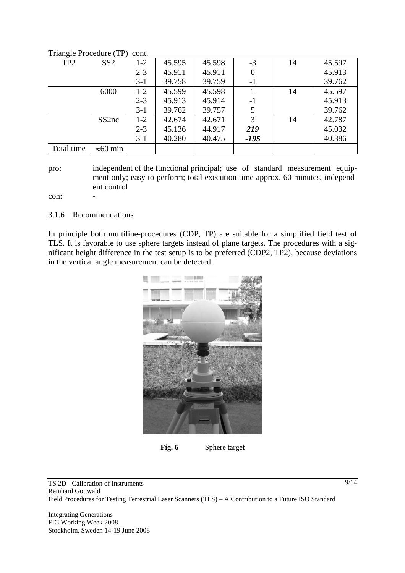| $\circ$         |                    |         |        |        |        |    |        |
|-----------------|--------------------|---------|--------|--------|--------|----|--------|
| TP <sub>2</sub> | SS2                | $1-2$   | 45.595 | 45.598 | $-3$   | 14 | 45.597 |
|                 |                    | $2 - 3$ | 45.911 | 45.911 |        |    | 45.913 |
|                 |                    | $3-1$   | 39.758 | 39.759 | -1     |    | 39.762 |
|                 | 6000               | $1-2$   | 45.599 | 45.598 |        | 14 | 45.597 |
|                 |                    | $2 - 3$ | 45.913 | 45.914 | -1     |    | 45.913 |
|                 |                    | $3-1$   | 39.762 | 39.757 |        |    | 39.762 |
|                 | SS <sub>2</sub> nc | $1 - 2$ | 42.674 | 42.671 | 3      | 14 | 42.787 |
|                 |                    | $2 - 3$ | 45.136 | 44.917 | 219    |    | 45.032 |
|                 |                    | $3-1$   | 40.280 | 40.475 | $-195$ |    | 40.386 |
| Total time      | $\approx 60$ min   |         |        |        |        |    |        |

Triangle Procedure (TP) cont.

pro: independent of the functional principal; use of standard measurement equipment only; easy to perform; total execution time approx. 60 minutes, independent control

con:

#### 3.1.6 Recommendations

In principle both multiline-procedures (CDP, TP) are suitable for a simplified field test of TLS. It is favorable to use sphere targets instead of plane targets. The procedures with a significant height difference in the test setup is to be preferred (CDP2, TP2), because deviations in the vertical angle measurement can be detected.



**Fig. 6** Sphere target

TS 2D - Calibration of Instruments Reinhard Gottwald Field Procedures for Testing Terrestrial Laser Scanners (TLS) – A Contribution to a Future ISO Standard

Integrating Generations FIG Working Week 2008 Stockholm, Sweden 14-19 June 2008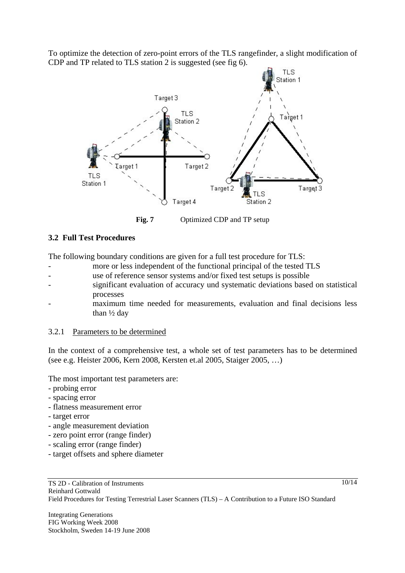To optimize the detection of zero-point errors of the TLS rangefinder, a slight modification of CDP and TP related to TLS station 2 is suggested (see fig 6).



Fig. 7 Optimized CDP and TP setup

### **3.2 Full Test Procedures**

The following boundary conditions are given for a full test procedure for TLS:

- more or less independent of the functional principal of the tested TLS
- use of reference sensor systems and/or fixed test setups is possible
- significant evaluation of accuracy und systematic deviations based on statistical processes
	- maximum time needed for measurements, evaluation and final decisions less than ½ day

#### 3.2.1 Parameters to be determined

In the context of a comprehensive test, a whole set of test parameters has to be determined (see e.g. Heister 2006, Kern 2008, Kersten et.al 2005, Staiger 2005, …)

The most important test parameters are:

- probing error
- spacing error
- flatness measurement error
- target error
- angle measurement deviation
- zero point error (range finder)
- scaling error (range finder)
- target offsets and sphere diameter

 $10/14$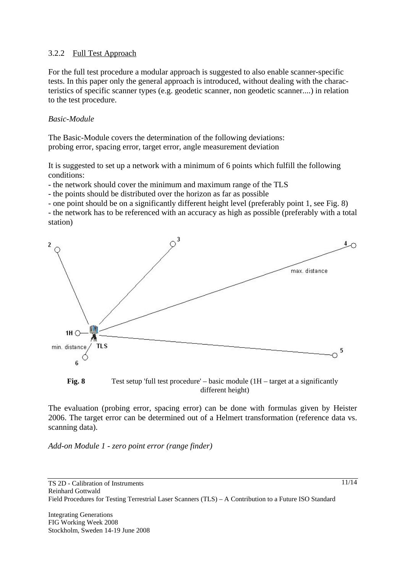### 3.2.2 Full Test Approach

For the full test procedure a modular approach is suggested to also enable scanner-specific tests. In this paper only the general approach is introduced, without dealing with the characteristics of specific scanner types (e.g. geodetic scanner, non geodetic scanner....) in relation to the test procedure.

### *Basic-Module*

The Basic-Module covers the determination of the following deviations: probing error, spacing error, target error, angle measurement deviation

It is suggested to set up a network with a minimum of 6 points which fulfill the following conditions:

- the network should cover the minimum and maximum range of the TLS

- the points should be distributed over the horizon as far as possible

- one point should be on a significantly different height level (preferably point 1, see Fig. 8)

- the network has to be referenced with an accuracy as high as possible (preferably with a total station)





The evaluation (probing error, spacing error) can be done with formulas given by Heister 2006. The target error can be determined out of a Helmert transformation (reference data vs. scanning data).

*Add-on Module 1 - zero point error (range finder)*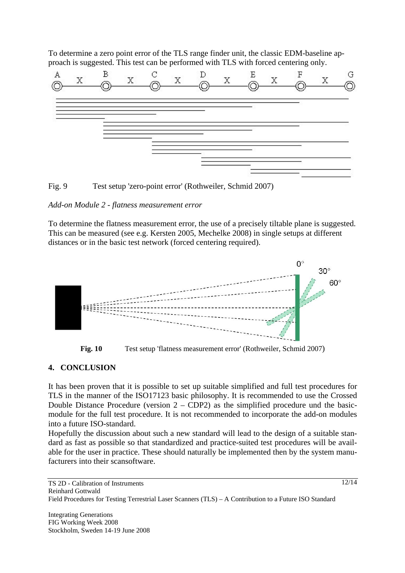To determine a zero point error of the TLS range finder unit, the classic EDM-baseline approach is suggested. This test can be performed with TLS with forced centering only.



Fig. 9 Test setup 'zero-point error' (Rothweiler, Schmid 2007)

### *Add-on Module 2 - flatness measurement error*

To determine the flatness measurement error, the use of a precisely tiltable plane is suggested. This can be measured (see e.g. Kersten 2005, Mechelke 2008) in single setups at different distances or in the basic test network (forced centering required).



**Fig. 10** Test setup 'flatness measurement error' (Rothweiler, Schmid 2007)

### **4. CONCLUSION**

It has been proven that it is possible to set up suitable simplified and full test procedures for TLS in the manner of the ISO17123 basic philosophy. It is recommended to use the Crossed Double Distance Procedure (version  $2 - CDP2$ ) as the simplified procedure und the basicmodule for the full test procedure. It is not recommended to incorporate the add-on modules into a future ISO-standard.

Hopefully the discussion about such a new standard will lead to the design of a suitable standard as fast as possible so that standardized and practice-suited test procedures will be available for the user in practice. These should naturally be implemented then by the system manufacturers into their scansoftware.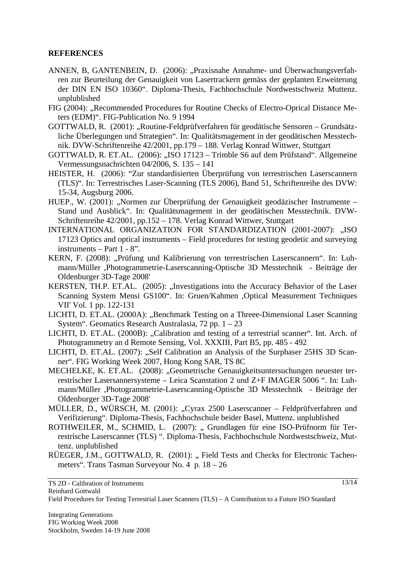#### **REFERENCES**

- ANNEN, B, GANTENBEIN, D. (2006): "Praxisnahe Annahme- und Überwachungsverfahren zur Beurteilung der Genauigkeit von Lasertrackern gemäss der geplanten Erweiterung der DIN EN ISO 10360". Diploma-Thesis, Fachhochschule Nordwestschweiz Muttenz. unplublished
- FIG (2004): "Recommended Procedures for Routine Checks of Electro-Oprical Distance Meters (EDM)". FIG-Publication No. 9 1994
- GOTTWALD, R. (2001): "Routine-Feldprüfverfahren für geodätische Sensoren Grundsätzliche Überlegungen und Strategien". In: Qualitätsmagement in der geodätischen Messtechnik. DVW-Schriftenreihe 42/2001, pp.179 – 188. Verlag Konrad Wittwer, Stuttgart
- GOTTWALD, R. ET.AL. (2006): "ISO 17123 Trimble S6 auf dem Prüfstand". Allgemeine Vermessungsnachrichten 04/2006, S. 135 – 141
- HEISTER, H. (2006): "Zur standardisierten Überprüfung von terrestrischen Laserscannern (TLS)". In: Terrestrisches Laser-Scanning (TLS 2006), Band 51, Schriftenreihe des DVW: 15-34, Augsburg 2006.
- HUEP., W. (2001): "Normen zur Überprüfung der Genauigkeit geodäzischer Instrumente Stand und Ausblick". In: Qualitätsmagement in der geodätischen Messtechnik. DVW-Schriftenreihe 42/2001, pp.152 – 178. Verlag Konrad Wittwer, Stuttgart
- INTERNATIONAL ORGANIZATION FOR STANDARDIZATION (2001-2007): "ISO 17123 Optics and optical instruments – Field procedures for testing geodetic and surveying instruments – Part 1 - 8".
- KERN, F. (2008): "Prüfung und Kalibrierung von terrestrischen Laserscannern". In: Luhmann/Müller ,Photogrammetrie-Laserscanning-Optische 3D Messtechnik - Beiträge der Oldenburger 3D-Tage 2008'
- KERSTEN, TH.P. ET.AL. (2005): "Investigations into the Accuracy Behavior of the Laser Scanning System Mensi GS100". In: Gruen/Kahmen ,Optical Measurement Techniques VII' Vol. 1 pp. 122-131
- LICHTI, D. ET.AL. (2000A): "Benchmark Testing on a Threee-Dimensional Laser Scanning System". Geomatics Research Australasia,  $72$  pp.  $1 - 23$
- LICHTI, D. ET.AL. (2000B): "Calibration and testing of a terrestrial scanner". Int. Arch. of Photogrammetry an d Remote Sensing, Vol. XXXIII, Part B5, pp. 485 - 492
- LICHTI, D. ET.AL. (2007): "Self Calibration an Analysis of the Surphaser 25HS 3D Scanner". FIG Working Week 2007, Hong Kong SAR, TS 8C
- MECHELKE, K. ET.AL. (2008): "Geometrische Genauigkeitsuntersuchungen neuester terrestrischer Lasersannersysteme – Leica Scanstation 2 und Z+F IMAGER 5006 ". In: Luhmann/Müller ,Photogrammetrie-Laserscanning-Optische 3D Messtechnik - Beiträge der Oldenburger 3D-Tage 2008'
- MÜLLER, D., WÜRSCH, M. (2001): "Cyrax 2500 Laserscanner Feldprüfverfahren und Verifizierung". Diploma-Thesis, Fachhochschule beider Basel, Muttenz. unplublished
- ROTHWEILER, M., SCHMID, L. (2007): " Grundlagen für eine ISO-Prüfnorm für Terrestrische Laserscanner (TLS) ". Diploma-Thesis, Fachhochschule Nordwestschweiz, Muttenz. unplublished
- RÜEGER, J.M., GOTTWALD, R. (2001): "Field Tests and Checks for Electronic Tacheometers". Trans Tasman Surveyour No. 4 p. 18 – 26

13/14